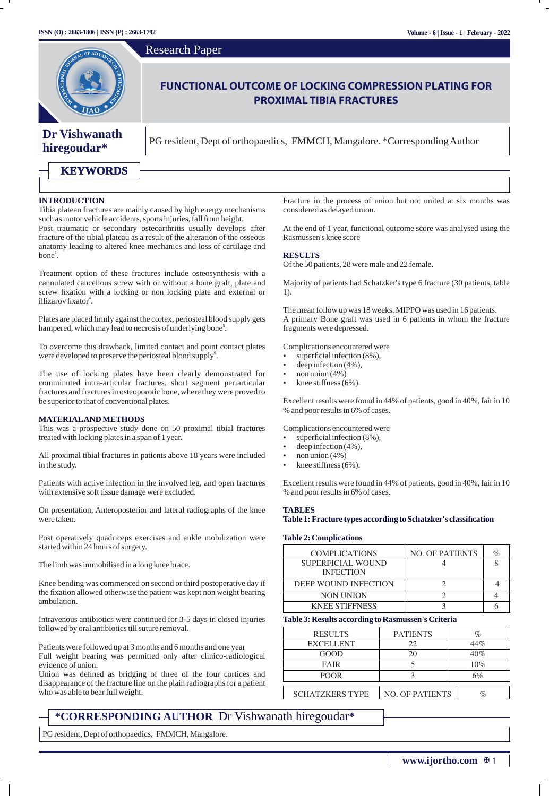

### **INTRODUCTION**

Tibia plateau fractures are mainly caused by high energy mechanisms such as motor vehicle accidents, sports injuries, fall from height.

Post traumatic or secondary osteoarthritis usually develops after fracture of the tibial plateau as a result of the alteration of the osseous anatomy leading to altered knee mechanics and loss of cartilage and  $bone<sup>1</sup>$ .

Treatment option of these fractures include osteosynthesis with a cannulated cancellous screw with or without a bone graft, plate and screw fixation with a locking or non locking plate and external or illizarov fixator<sup>4</sup>.

Plates are placed firmly against the cortex, periosteal blood supply gets hampered, which may lead to necrosis of underlying bone<sup>5</sup>.

To overcome this drawback, limited contact and point contact plates were developed to preserve the periosteal blood supply<sup>6</sup>.

The use of locking plates have been clearly demonstrated for comminuted intra-articular fractures, short segment periarticular fractures and fractures in osteoporotic bone, where they were proved to be superior to that of conventional plates.

#### **MATERIALAND METHODS**

This was a prospective study done on 50 proximal tibial fractures treated with locking plates in a span of 1 year.

All proximal tibial fractures in patients above 18 years were included in the study.

Patients with active infection in the involved leg, and open fractures with extensive soft tissue damage were excluded.

On presentation, Anteroposterior and lateral radiographs of the knee were taken.

Post operatively quadriceps exercises and ankle mobilization were started within 24 hours of surgery.

The limb was immobilised in a long knee brace.

Knee bending was commenced on second or third postoperative day if the fixation allowed otherwise the patient was kept non weight bearing ambulation.

Intravenous antibiotics were continued for 3-5 days in closed injuries followed by oral antibiotics till suture removal.

Patients were followed up at 3 months and 6 months and one year Full weight bearing was permitted only after clinico-radiological evidence of union.

Union was defined as bridging of three of the four cortices and disappearance of the fracture line on the plain radiographs for a patient who was able to bear full weight.

Fracture in the process of union but not united at six months was considered as delayed union.

At the end of 1 year, functional outcome score was analysed using the Rasmussen's knee score

### **RESULTS**

Of the 50 patients, 28 were male and 22 female.

Majority of patients had Schatzker's type 6 fracture (30 patients, table 1).

The mean follow up was 18 weeks. MIPPO was used in 16 patients. A primary Bone graft was used in 6 patients in whom the fracture fragments were depressed.

Complications encountered were

- superficial infection (8%),
- deep infection (4%),
- $n$  non union (4%)
- knee stiffness  $(6%)$ .

Excellent results were found in 44% of patients, good in 40%, fair in 10 % and poor results in 6% of cases.

Complications encountered were

- $\frac{1}{2}$  superficial infection (8%),
- deep infection (4%),
- $non$  union (4%)

**TABLES** 

knee stiffness  $(6%)$ .

Excellent results were found in 44% of patients, good in 40%, fair in 10 % and poor results in 6% of cases.

## Table 1: Fracture types according to Schatzker's classification

### **Table 2: Complications**

| <b>COMPLICATIONS</b>                  | <b>NO. OF PATIENTS</b> | $\%$ |
|---------------------------------------|------------------------|------|
| SUPERFICIAL WOUND<br><b>INFECTION</b> |                        |      |
| DEEP WOUND INFECTION                  |                        |      |
| <b>NON UNION</b>                      |                        |      |
| <b>KNEE STIFFNESS</b>                 |                        |      |

### **Table 3: Results according to Rasmussen's Criteria**

| <b>RESULTS</b>         | <b>PATIENTS</b>        | %   |
|------------------------|------------------------|-----|
| <b>EXCELLENT</b>       | 22                     | 44% |
| GOOD                   | 20                     | 40% |
| FAIR                   |                        | 10% |
| <b>POOR</b>            |                        | 6%  |
| <b>SCHATZKERS TYPE</b> | <b>NO. OF PATIENTS</b> | %   |

### **\*CORRESPONDING AUTHOR** Dr Vishwanath hiregoudar**\***

PG resident, Dept of orthopaedics, FMMCH, Mangalore.